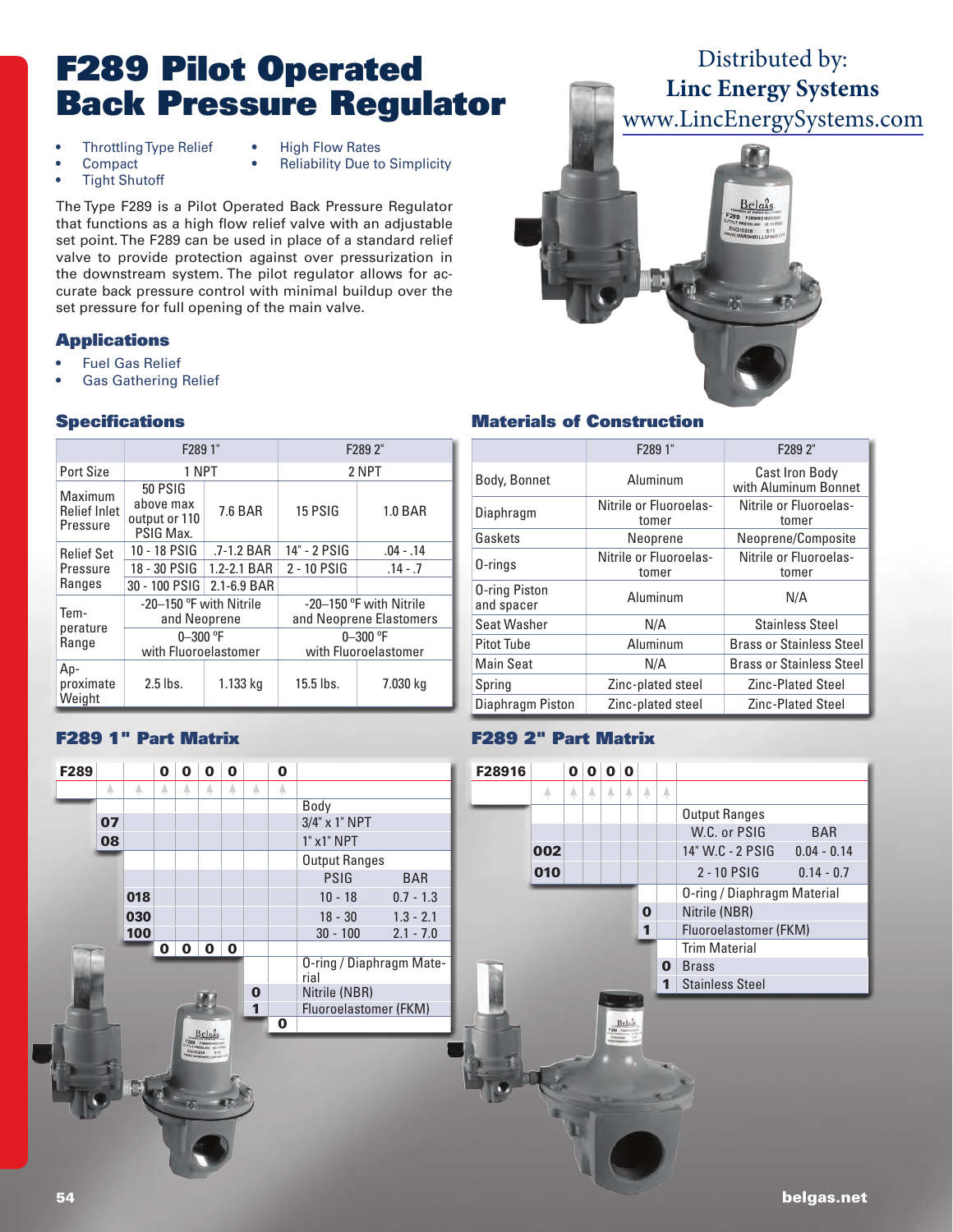# F289 Pilot Operated Back Pressure Regulator

- Throttling Type Relief High Flow Rates
- 
- 
- 
- 
- **Tight Shutoff**

**Compact** • Reliability Due to Simplicity

The Type F289 is a Pilot Operated Back Pressure Regulator that functions as a high flow relief valve with an adjustable set point. The F289 can be used in place of a standard relief valve to provide protection against over pressurization in the downstream system. The pilot regulator allows for accurate back pressure control with minimal buildup over the set pressure for full opening of the main valve.

#### **Applications**

- **Fuel Gas Relief**
- Gas Gathering Relief

#### **Specifications**

|                                            | F289 1"                                                   |             | F289 2"                                            |                |  |  |
|--------------------------------------------|-----------------------------------------------------------|-------------|----------------------------------------------------|----------------|--|--|
| Port Size                                  | 1 NPT                                                     |             | 2 NPT                                              |                |  |  |
| Maximum<br><b>Relief Inlet</b><br>Pressure | <b>50 PSIG</b><br>above max<br>output or 110<br>PSIG Max. | 7.6 BAR     | 15 PSIG                                            | <b>1.0 BAR</b> |  |  |
| <b>Relief Set</b>                          | 10 - 18 PSIG                                              | .7-1.2 BAR  | 14" - 2 PSIG                                       | $.04 - .14$    |  |  |
| Pressure                                   | 18 - 30 PSIG<br>1.2-2.1 BAR                               |             | 2 - 10 PSIG                                        | $.14 - .7$     |  |  |
| Ranges                                     | 30 - 100 PSIG                                             | 2.1-6.9 BAR |                                                    |                |  |  |
| Tem-                                       | -20-150 °F with Nitrile<br>and Neoprene                   |             | -20-150 °F with Nitrile<br>and Neoprene Elastomers |                |  |  |
| perature<br>Range                          | $0 - 300$ °F<br>with Fluoroelastomer                      |             | $0 - 300$ °F<br>with Fluoroelastomer               |                |  |  |
| Ap-<br>proximate<br>Weight                 | $2.5$ lbs.                                                | 1.133 kg    | 15.5 lbs.                                          | 7.030 kg       |  |  |

## F289 1" Part Matrix



## Distributed by: **Linc Energy Systems** [www.LincEnergySystems.com](https://www.lincenergysystems.com/manufacturers/belgas-regulator/)



#### Materials of Construction

|                                    | F289 1"                         | F289 2"                                |  |  |
|------------------------------------|---------------------------------|----------------------------------------|--|--|
| Body, Bonnet                       | Aluminum                        | Cast Iron Body<br>with Aluminum Bonnet |  |  |
| Diaphragm                          | Nitrile or Fluoroelas-<br>tomer | Nitrile or Fluoroelas-<br>tomer        |  |  |
| Gaskets                            | Neoprene                        | Neoprene/Composite                     |  |  |
| 0-rings                            | Nitrile or Fluoroelas-<br>tomer | Nitrile or Fluoroelas-<br>tomer        |  |  |
| <b>0-ring Piston</b><br>and spacer | Aluminum                        | N/A                                    |  |  |
| Seat Washer                        | N/A                             | <b>Stainless Steel</b>                 |  |  |
| <b>Pitot Tube</b>                  | Aluminum                        | <b>Brass or Stainless Steel</b>        |  |  |
| <b>Main Seat</b>                   | N/A                             | <b>Brass or Stainless Steel</b>        |  |  |
| Spring                             | Zinc-plated steel               | <b>Zinc-Plated Steel</b>               |  |  |
| Diaphragm Piston                   | Zinc-plated steel               | <b>Zinc-Plated Steel</b>               |  |  |

### F289 2" Part Matrix

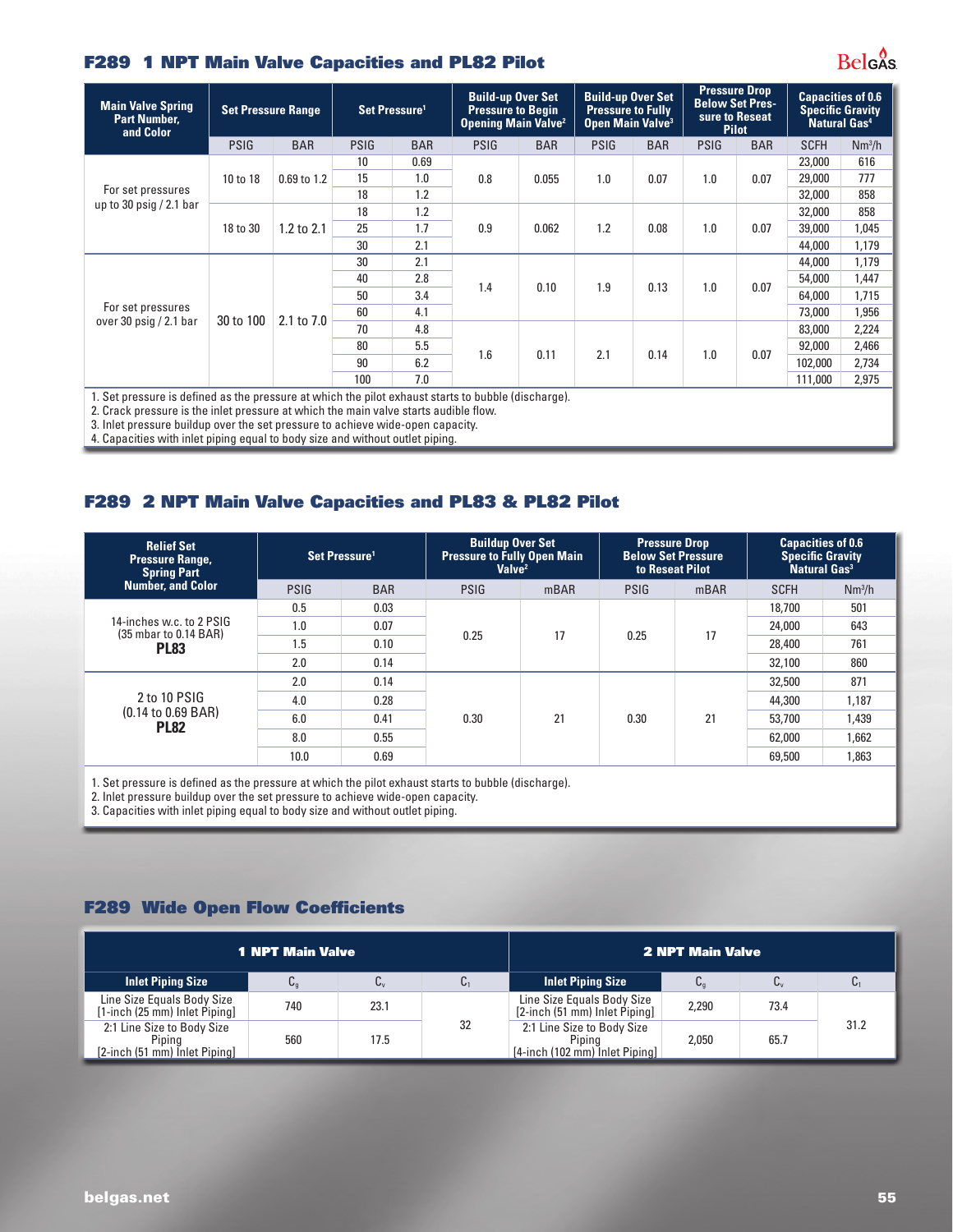#### F289 1 NPT Main Valve Capacities and PL82 Pilot

| <b>Main Valve Spring</b><br><b>Part Number,</b><br>and Color                       | <b>Set Pressure Range</b> |             | Set Pressure <sup>1</sup> |            | <b>Build-up Over Set</b><br><b>Pressure to Begin</b><br><b>Opening Main Valve<sup>2</sup></b> |                                                                                                     |             | <b>Build-up Over Set</b><br><b>Pressure to Fully</b><br>Open Main Valve <sup>3</sup> |             | <b>Pressure Drop</b><br><b>Below Set Pres-</b><br>sure to Reseat<br><b>Pilot</b> |             | <b>Capacities of 0.6</b><br><b>Specific Gravity</b><br>Natural Gas <sup>4</sup> |  |
|------------------------------------------------------------------------------------|---------------------------|-------------|---------------------------|------------|-----------------------------------------------------------------------------------------------|-----------------------------------------------------------------------------------------------------|-------------|--------------------------------------------------------------------------------------|-------------|----------------------------------------------------------------------------------|-------------|---------------------------------------------------------------------------------|--|
|                                                                                    | <b>PSIG</b>               | <b>BAR</b>  | <b>PSIG</b>               | <b>BAR</b> | <b>PSIG</b>                                                                                   | <b>BAR</b>                                                                                          | <b>PSIG</b> | <b>BAR</b>                                                                           | <b>PSIG</b> | <b>BAR</b>                                                                       | <b>SCFH</b> | Nm <sup>3</sup> /h                                                              |  |
| For set pressures<br>up to 30 $psiq / 2.1$ bar                                     |                           |             | 10                        | 0.69       |                                                                                               |                                                                                                     |             |                                                                                      |             |                                                                                  | 23,000      | 616                                                                             |  |
|                                                                                    | 10 to 18                  | 0.69 to 1.2 | 15                        | 1.0        | 0.8                                                                                           | 0.055                                                                                               | 1.0         | 0.07                                                                                 | 1.0         | 0.07                                                                             | 29,000      | 777                                                                             |  |
|                                                                                    |                           |             | 18                        | 1.2        |                                                                                               |                                                                                                     |             |                                                                                      |             |                                                                                  | 32,000      | 858                                                                             |  |
|                                                                                    | 18 to 30                  |             | 18                        | 1.2        |                                                                                               |                                                                                                     |             |                                                                                      | 1.0         | 0.07                                                                             | 32,000      | 858                                                                             |  |
|                                                                                    |                           | 1.2 to 2.1  | 25                        | 1.7        | 0.9                                                                                           | 0.062                                                                                               | 1.2         | 0.08                                                                                 |             |                                                                                  | 39,000      | 1,045                                                                           |  |
|                                                                                    |                           |             | 30                        | 2.1        |                                                                                               |                                                                                                     |             |                                                                                      |             |                                                                                  | 44,000      | 1,179                                                                           |  |
|                                                                                    |                           |             | 30                        | 2.1        |                                                                                               |                                                                                                     | 1.9         | 0.13                                                                                 | 1.0         | 0.07                                                                             | 44,000      | 1,179                                                                           |  |
|                                                                                    |                           |             | 40                        | 2.8        |                                                                                               |                                                                                                     |             |                                                                                      |             |                                                                                  | 54,000      | 1,447                                                                           |  |
|                                                                                    |                           |             | 50                        | 3.4        | 1.4                                                                                           | 0.10                                                                                                |             |                                                                                      |             |                                                                                  | 64,000      | 1,715                                                                           |  |
| For set pressures                                                                  |                           |             | 60                        | 4.1        |                                                                                               |                                                                                                     |             |                                                                                      |             |                                                                                  | 73,000      | 1,956                                                                           |  |
| over 30 $psiq / 2.1$ bar                                                           | 30 to 100                 | 2.1 to 7.0  | 70                        | 4.8        |                                                                                               |                                                                                                     |             |                                                                                      |             |                                                                                  | 83,000      | 2,224                                                                           |  |
|                                                                                    |                           |             | 80                        | 5.5        |                                                                                               |                                                                                                     |             | 0.14                                                                                 |             |                                                                                  | 92,000      | 2,466                                                                           |  |
|                                                                                    |                           |             | 90                        | 6.2        | 1.6                                                                                           | 0.11                                                                                                | 2.1         |                                                                                      | 1.0         | 0.07                                                                             | 102,000     | 2,734                                                                           |  |
|                                                                                    |                           |             | 100                       | 7.0        |                                                                                               |                                                                                                     |             |                                                                                      |             |                                                                                  | 111,000     | 2,975                                                                           |  |
| n Create araacusa is tha internaceuse at which the main value starte andible flow. |                           |             |                           |            |                                                                                               | 1. Set pressure is defined as the pressure at which the pilot exhaust starts to bubble (discharge). |             |                                                                                      |             |                                                                                  |             |                                                                                 |  |

2. Crack pressure is the inlet pressure at which the main valve starts audible flow.

3. Inlet pressure buildup over the set pressure to achieve wide-open capacity.

4. Capacities with inlet piping equal to body size and without outlet piping.

#### F289 2 NPT Main Valve Capacities and PL83 & PL82 Pilot

| <b>Relief Set</b><br><b>Pressure Range,</b><br><b>Spring Part</b> | Set Pressure <sup>1</sup> |            | <b>Buildup Over Set</b><br><b>Pressure to Fully Open Main</b><br>Valve <sup>2</sup> |      | <b>Pressure Drop</b><br><b>Below Set Pressure</b><br>to Reseat Pilot |      | <b>Capacities of 0.6</b><br><b>Specific Gravity</b><br>Natural Gas <sup>3</sup> |                    |
|-------------------------------------------------------------------|---------------------------|------------|-------------------------------------------------------------------------------------|------|----------------------------------------------------------------------|------|---------------------------------------------------------------------------------|--------------------|
| <b>Number, and Color</b>                                          | <b>PSIG</b>               | <b>BAR</b> | <b>PSIG</b>                                                                         | mBAR | <b>PSIG</b>                                                          | mBAR | <b>SCFH</b>                                                                     | Nm <sup>3</sup> /h |
| 14-inches w.c. to 2 PSIG<br>(35 mbar to 0.14 BAR)<br><b>PL83</b>  | 0.5                       | 0.03       |                                                                                     | 17   | 0.25                                                                 | 17   | 18.700                                                                          | 501                |
|                                                                   | 1.0                       | 0.07       | 0.25                                                                                |      |                                                                      |      | 24,000                                                                          | 643                |
|                                                                   | 1.5                       | 0.10       |                                                                                     |      |                                                                      |      | 28,400                                                                          | 761                |
|                                                                   | 2.0                       | 0.14       |                                                                                     |      |                                                                      |      | 32,100                                                                          | 860                |
|                                                                   | 2.0                       | 0.14       |                                                                                     |      |                                                                      |      | 32,500                                                                          | 871                |
| 2 to 10 PSIG                                                      | 4.0                       | 0.28       |                                                                                     |      |                                                                      |      | 44.300                                                                          | 1.187              |
| $(0.14 \text{ to } 0.69 \text{ BAR})$                             | 6.0                       | 0.41       | 0.30                                                                                | 21   | 0.30                                                                 | 21   | 53,700                                                                          | 1,439              |
| <b>PL82</b>                                                       | 8.0                       | 0.55       |                                                                                     |      |                                                                      |      | 62,000                                                                          | 1,662              |
|                                                                   | 10.0                      | 0.69       |                                                                                     |      |                                                                      |      | 69,500                                                                          | 1,863              |

1. Set pressure is defined as the pressure at which the pilot exhaust starts to bubble (discharge).

2. Inlet pressure buildup over the set pressure to achieve wide-open capacity.

3. Capacities with inlet piping equal to body size and without outlet piping.

#### F289 Wide Open Flow Coefficients

| <b>1 NPT Main Valve</b>                                               | <b>2 NPT Main Valve</b> |      |    |                                                                        |       |      |      |
|-----------------------------------------------------------------------|-------------------------|------|----|------------------------------------------------------------------------|-------|------|------|
| <b>Inlet Piping Size</b>                                              | Ug                      | U٧   | U1 | <b>Inlet Piping Size</b>                                               | Uα    | C,   |      |
| Line Size Equals Body Size<br>[1-inch (25 mm) Inlet Piping]           | 740                     | 23.1 |    | Line Size Equals Body Size<br>[2-inch (51 mm) Inlet Piping]            | 2.290 | 73.4 |      |
| 2:1 Line Size to Body Size<br>Piping<br>[2-inch (51 mm) Inlet Piping] | 560                     | 17.5 | 32 | 2:1 Line Size to Body Size<br>Pipina<br>[4-inch (102 mm) Inlet Piping] | 2.050 | 65.7 | 31.2 |

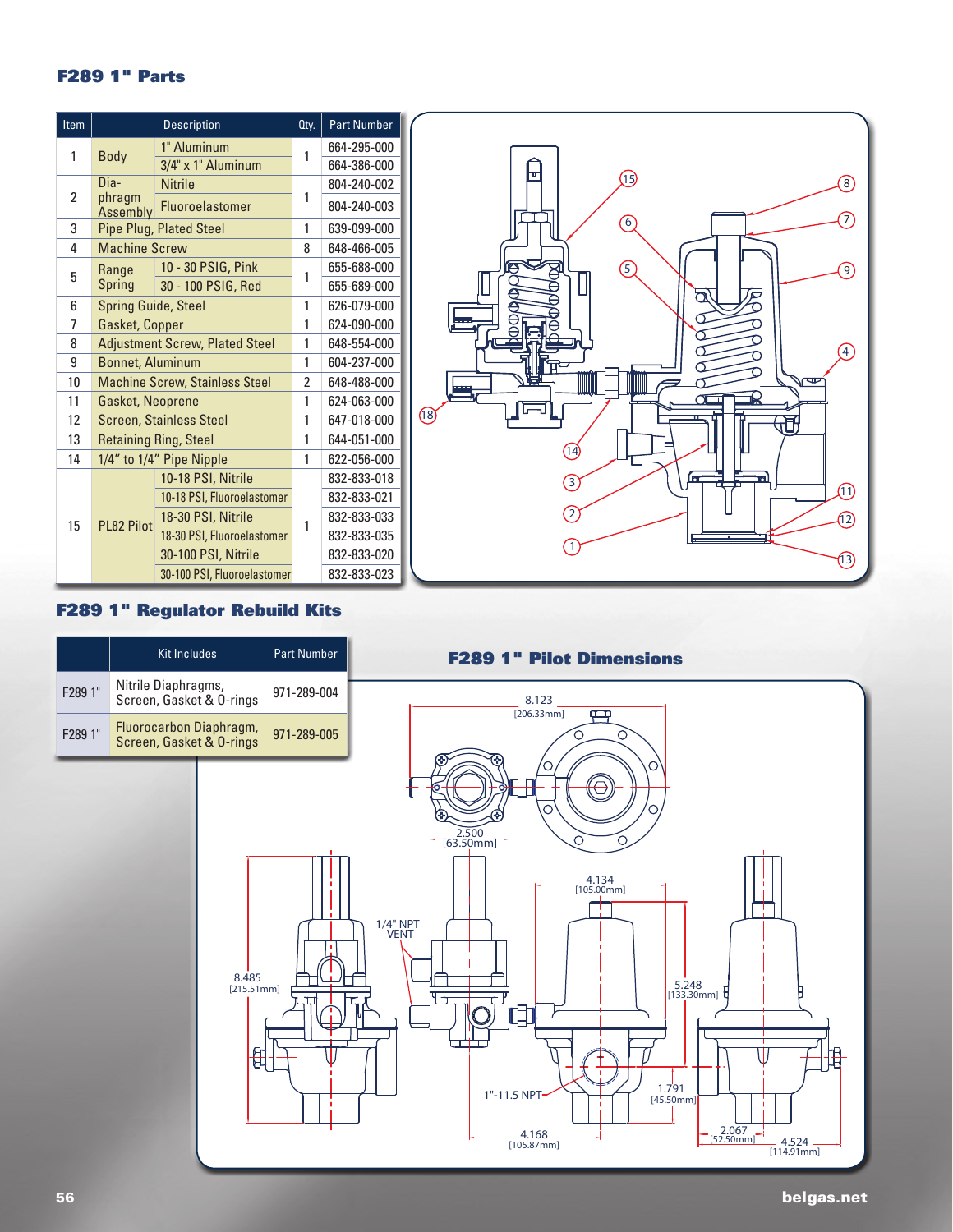#### F289 1" Parts

| Item           |                            | <b>Description</b>                    | Qty.           | <b>Part Number</b> |
|----------------|----------------------------|---------------------------------------|----------------|--------------------|
| 1              | <b>Body</b>                | 1" Aluminum                           | 1              | 664-295-000        |
|                |                            | 3/4" x 1" Aluminum                    |                | 664-386-000        |
|                | Dia-                       | <b>Nitrile</b>                        |                | 804-240-002        |
| $\overline{2}$ | phragm<br>Assembly         | Fluoroelastomer                       | 1              | 804-240-003        |
| 3              |                            | <b>Pipe Plug, Plated Steel</b>        | 1              | 639-099-000        |
| 4              | <b>Machine Screw</b>       |                                       | 8              | 648-466-005        |
| 5              | Range                      | 10 - 30 PSIG, Pink                    | 1              | 655-688-000        |
|                | Spring                     | 30 - 100 PSIG, Red                    |                | 655-689-000        |
| 6              | <b>Spring Guide, Steel</b> |                                       | 1              | 626-079-000        |
| 7              | Gasket, Copper             |                                       | 1              | 624-090-000        |
| 8              |                            | <b>Adjustment Screw, Plated Steel</b> | 1              | 648-554-000        |
| 9              | <b>Bonnet, Aluminum</b>    |                                       | 1              | 604-237-000        |
| 10             |                            | <b>Machine Screw, Stainless Steel</b> | $\overline{2}$ | 648-488-000        |
| 11             | <b>Gasket, Neoprene</b>    |                                       | 1              | 624-063-000        |
| 12             |                            | <b>Screen, Stainless Steel</b>        | 1              | 647-018-000        |
| 13             |                            | <b>Retaining Ring, Steel</b>          | 1              | 644-051-000        |
| 14             |                            | 1/4" to 1/4" Pipe Nipple              | 1              | 622-056-000        |
|                |                            | 10-18 PSI, Nitrile                    |                | 832-833-018        |
|                |                            | 10-18 PSI, Fluoroelastomer            |                | 832-833-021        |
| 15             | PL82 Pilot                 | 18-30 PSI, Nitrile                    | 1              | 832-833-033        |
|                |                            | 18-30 PSI, Fluoroelastomer            |                | 832-833-035        |
|                |                            | 30-100 PSI, Nitrile                   |                | 832-833-020        |
|                |                            | 30-100 PSI, Fluoroelastomer           |                | 832-833-023        |



## F289 1" Regulator Rebuild Kits